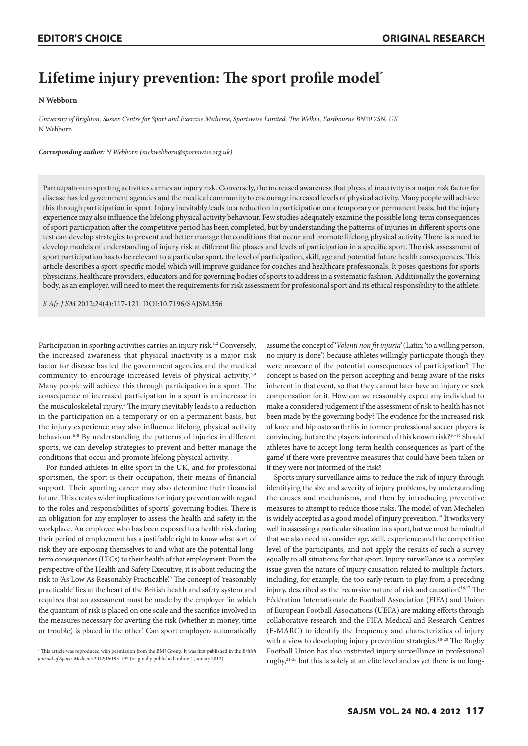# **Lifetime injury prevention: The sport profile model\***

#### **N Webborn**

*University of Brighton, Sussex Centre for Sport and Exercise Medicine, Sportswise Limited, The Welkin, Eastbourne BN20 7SN, UK* N Webborn

*Corresponding author: N Webborn [\(nickwebborn@sportswise.org.uk\)](mailto:nickwebborn@sportswise.org.uk)*

Participation in sporting activities carries an injury risk. Conversely, the increased awareness that physical inactivity is a major risk factor for disease has led government agencies and the medical community to encourage increased levels of physical activity. Many people will achieve this through participation in sport. Injury inevitably leads to a reduction in participation on a temporary or permanent basis, but the injury experience may also influence the lifelong physical activity behaviour. Few studies adequately examine the possible long-term consequences of sport participation after the competitive period has been completed, but by understanding the patterns of injuries in different sports one test can develop strategies to prevent and better manage the conditions that occur and promote lifelong physical activity. There is a need to develop models of understanding of injury risk at different life phases and levels of participation in a specific sport. The risk assessment of sport participation has to be relevant to a particular sport, the level of participation, skill, age and potential future health consequences. This article describes a sport-specific model which will improve guidance for coaches and healthcare professionals. It poses questions for sports physicians, healthcare providers, educators and for governing bodies of sports to address in a systematic fashion. Additionally the governing body, as an employer, will need to meet the requirements for risk assessment for professional sport and its ethical responsibility to the athlete.

*S Afr J SM* 2012;24(4):117-121. DOI:10.7196/SAJSM.356

Participation in sporting activities carries an injury risk.<sup>1,2</sup> Conversely, the increased awareness that physical inactivity is a major risk factor for disease has led the government agencies and the medical community to encourage increased levels of physical activity.<sup>3,4</sup> Many people will achieve this through participation in a sport. The consequence of increased participation in a sport is an increase in the musculoskeletal injury.<sup>5</sup> The injury inevitably leads to a reduction in the participation on a temporary or on a permanent basis, but the injury experience may also influence lifelong physical activity behaviour.<sup>6-8</sup> By understanding the patterns of injuries in different sports, we can develop strategies to prevent and better manage the conditions that occur and promote lifelong physical activity.

For funded athletes in elite sport in the UK, and for professional sportsmen, the sport is their occupation, their means of financial support. Their sporting career may also determine their financial future. This creates wider implications for injury prevention with regard to the roles and responsibilities of sports' governing bodies. There is an obligation for any employer to assess the health and safety in the workplace. An employee who has been exposed to a health risk during their period of employment has a justifiable right to know what sort of risk they are exposing themselves to and what are the potential longterm consequences (LTCs) to their health of that employment. From the perspective of the Health and Safety Executive, it is about reducing the risk to 'As Low As Reasonably Practicable'.<sup>9</sup> The concept of 'reasonably practicable' lies at the heart of the British health and safety system and requires that an assessment must be made by the employer 'in which the quantum of risk is placed on one scale and the sacrifice involved in the measures necessary for averting the risk (whether in money, time or trouble) is placed in the other'. Can sport employers automatically

assume the concept of '*Volenti non fit injuria'* (Latin: 'to a willing person, no injury is done') because athletes willingly participate though they were unaware of the potential consequences of participation? The concept is based on the person accepting and being aware of the risks inherent in that event, so that they cannot later have an injury or seek compensation for it. How can we reasonably expect any individual to make a considered judgement if the assessment of risk to health has not been made by the governing body? The evidence for the increased risk of knee and hip osteoarthritis in former professional soccer players is convincing, but are the players informed of this known risk?10-14 Should athletes have to accept long-term health consequences as 'part of the game' if there were preventive measures that could have been taken or if they were not informed of the risk?

Sports injury surveillance aims to reduce the risk of injury through identifying the size and severity of injury problems, by understanding the causes and mechanisms, and then by introducing preventive measures to attempt to reduce those risks. The model of van Mechelen is widely accepted as a good model of injury prevention.<sup>15</sup> It works very well in assessing a particular situation in a sport, but we must be mindful that we also need to consider age, skill, experience and the competitive level of the participants, and not apply the results of such a survey equally to all situations for that sport. Injury surveillance is a complex issue given the nature of injury causation related to multiple factors, including, for example, the too early return to play from a preceding injury, described as the 'recursive nature of risk and causation'.<sup>16,17</sup> The Fédération Internationale de Football Association (FIFA) and Union of European Football Associations (UEFA) are making efforts through collaborative research and the FIFA Medical and Research Centres (F-MARC) to identify the frequency and characteristics of injury with a view to developing injury prevention strategies.<sup>18-20</sup> The Rugby Football Union has also instituted injury surveillance in professional rugby,21-25 but this is solely at an elite level and as yet there is no long-

<sup>\*</sup> This article was reproduced with permission from the BMJ Group. It was first published in the *British Journal of Sports Medicine* 2012;46:193-197 (originally published online 4 January 2012).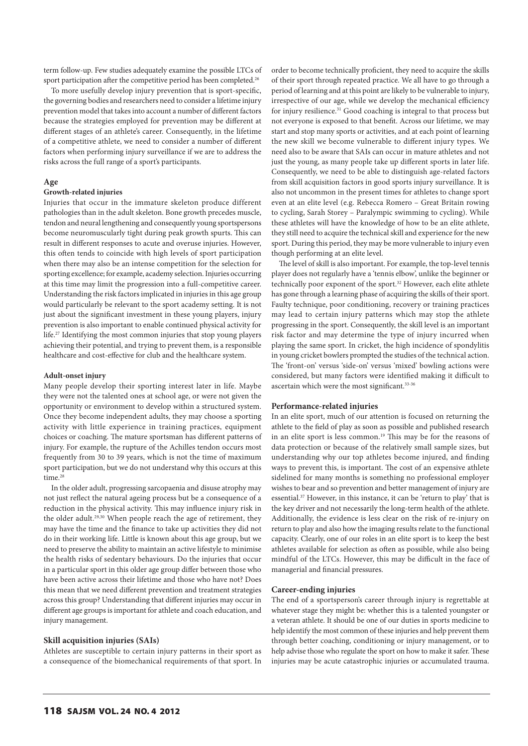term follow-up. Few studies adequately examine the possible LTCs of sport participation after the competitive period has been completed.<sup>26</sup>

To more usefully develop injury prevention that is sport-specific, the governing bodies and researchers need to consider a lifetime injury prevention model that takes into account a number of different factors because the strategies employed for prevention may be different at different stages of an athlete's career. Consequently, in the lifetime of a competitive athlete, we need to consider a number of different factors when performing injury surveillance if we are to address the risks across the full range of a sport's participants.

# **Age**

# **Growth-related injuries**

Injuries that occur in the immature skeleton produce different pathologies than in the adult skeleton. Bone growth precedes muscle, tendon and neural lengthening and consequently young sportspersons become neuromuscularly tight during peak growth spurts. This can result in different responses to acute and overuse injuries. However, this often tends to coincide with high levels of sport participation when there may also be an intense competition for the selection for sporting excellence; for example, academy selection. Injuries occurring at this time may limit the progression into a full-competitive career. Understanding the risk factors implicated in injuries in this age group would particularly be relevant to the sport academy setting. It is not just about the significant investment in these young players, injury prevention is also important to enable continued physical activity for life.27 Identifying the most common injuries that stop young players achieving their potential, and trying to prevent them, is a responsible healthcare and cost-effective for club and the healthcare system.

#### **Adult-onset injury**

Many people develop their sporting interest later in life. Maybe they were not the talented ones at school age, or were not given the opportunity or environment to develop within a structured system. Once they become independent adults, they may choose a sporting activity with little experience in training practices, equipment choices or coaching. The mature sportsman has different patterns of injury. For example, the rupture of the Achilles tendon occurs most frequently from 30 to 39 years, which is not the time of maximum sport participation, but we do not understand why this occurs at this time. $28$ 

In the older adult, progressing sarcopaenia and disuse atrophy may not just reflect the natural ageing process but be a consequence of a reduction in the physical activity. This may influence injury risk in the older adult.<sup>29,30</sup> When people reach the age of retirement, they may have the time and the finance to take up activities they did not do in their working life. Little is known about this age group, but we need to preserve the ability to maintain an active lifestyle to minimise the health risks of sedentary behaviours. Do the injuries that occur in a particular sport in this older age group differ between those who have been active across their lifetime and those who have not? Does this mean that we need different prevention and treatment strategies across this group? Understanding that different injuries may occur in different age groups is important for athlete and coach education, and injury management.

# **Skill acquisition injuries (SAIs)**

Athletes are susceptible to certain injury patterns in their sport as a consequence of the biomechanical requirements of that sport. In order to become technically proficient, they need to acquire the skills of their sport through repeated practice. We all have to go through a period of learning and at this point are likely to be vulnerable to injury, irrespective of our age, while we develop the mechanical efficiency for injury resilience.<sup>31</sup> Good coaching is integral to that process but not everyone is exposed to that benefit. Across our lifetime, we may start and stop many sports or activities, and at each point of learning the new skill we become vulnerable to different injury types. We need also to be aware that SAIs can occur in mature athletes and not just the young, as many people take up different sports in later life. Consequently, we need to be able to distinguish age-related factors from skill acquisition factors in good sports injury surveillance. It is also not uncommon in the present times for athletes to change sport even at an elite level (e.g. Rebecca Romero – Great Britain rowing to cycling, Sarah Storey – Paralympic swimming to cycling). While these athletes will have the knowledge of how to be an elite athlete, they still need to acquire the technical skill and experience for the new sport. During this period, they may be more vulnerable to injury even though performing at an elite level.

The level of skill is also important. For example, the top-level tennis player does not regularly have a 'tennis elbow', unlike the beginner or technically poor exponent of the sport.32 However, each elite athlete has gone through a learning phase of acquiring the skills of their sport. Faulty technique, poor conditioning, recovery or training practices may lead to certain injury patterns which may stop the athlete progressing in the sport. Consequently, the skill level is an important risk factor and may determine the type of injury incurred when playing the same sport. In cricket, the high incidence of spondylitis in young cricket bowlers prompted the studies of the technical action. The 'front-on' versus 'side-on' versus 'mixed' bowling actions were considered, but many factors were identified making it difficult to ascertain which were the most significant.<sup>33-36</sup>

# **Performance-related injuries**

In an elite sport, much of our attention is focused on returning the athlete to the field of play as soon as possible and published research in an elite sport is less common.19 This may be for the reasons of data protection or because of the relatively small sample sizes, but understanding why our top athletes become injured, and finding ways to prevent this, is important. The cost of an expensive athlete sidelined for many months is something no professional employer wishes to bear and so prevention and better management of injury are essential.<sup>37</sup> However, in this instance, it can be 'return to play' that is the key driver and not necessarily the long-term health of the athlete. Additionally, the evidence is less clear on the risk of re-injury on return to play and also how the imaging results relate to the functional capacity. Clearly, one of our roles in an elite sport is to keep the best athletes available for selection as often as possible, while also being mindful of the LTCs. However, this may be difficult in the face of managerial and financial pressures.

#### **Career-ending injuries**

The end of a sportsperson's career through injury is regrettable at whatever stage they might be: whether this is a talented youngster or a veteran athlete. It should be one of our duties in sports medicine to help identify the most common of these injuries and help prevent them through better coaching, conditioning or injury management, or to help advise those who regulate the sport on how to make it safer. These injuries may be acute catastrophic injuries or accumulated trauma.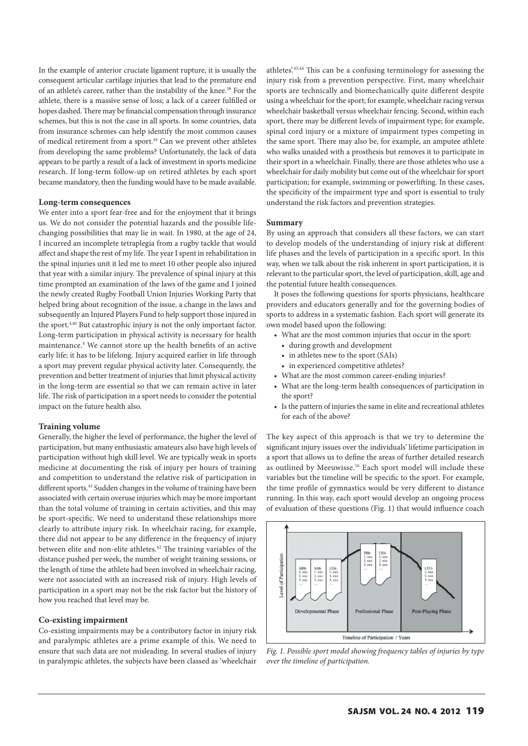In the example of anterior cruciate ligament rupture, it is usually the consequent articular cartilage injuries that lead to the premature end of an athlete's career, rather than the instability of the knee.38 For the athlete, there is a massive sense of loss; a lack of a career fulfilled or hopes dashed. There may be financial compensation through insurance schemes, but this is not the case in all sports. In some countries, data from insurance schemes can help identify the most common causes of medical retirement from a sport.39 Can we prevent other athletes from developing the same problems? Unfortunately, the lack of data appears to be partly a result of a lack of investment in sports medicine research. If long-term follow-up on retired athletes by each sport became mandatory, then the funding would have to be made available.

#### **Long-term consequences**

We enter into a sport fear-free and for the enjoyment that it brings us. We do not consider the potential hazards and the possible lifechanging possibilities that may lie in wait. In 1980, at the age of 24, I incurred an incomplete tetraplegia from a rugby tackle that would affect and shape the rest of my life. The year I spent in rehabilitation in the spinal injuries unit it led me to meet 10 other people also injured that year with a similar injury. The prevalence of spinal injury at this time prompted an examination of the laws of the game and I joined the newly created Rugby Football Union Injuries Working Party that helped bring about recognition of the issue, a change in the laws and subsequently an Injured Players Fund to help support those injured in the sport.<sup>4,40</sup> But catastrophic injury is not the only important factor. Long-term participation in physical activity is necessary for health maintenance.4 We cannot store up the health benefits of an active early life; it has to be lifelong. Injury acquired earlier in life through a sport may prevent regular physical activity later. Consequently, the prevention and better treatment of injuries that limit physical activity in the long-term are essential so that we can remain active in later life. The risk of participation in a sport needs to consider the potential impact on the future health also.

# **Training volume**

Generally, the higher the level of performance, the higher the level of participation, but many enthusiastic amateurs also have high levels of participation without high skill level. We are typically weak in sports medicine at documenting the risk of injury per hours of training and competition to understand the relative risk of participation in different sports.<sup>41</sup> Sudden changes in the volume of training have been associated with certain overuse injuries which may be more important than the total volume of training in certain activities, and this may be sport-specific. We need to understand these relationships more clearly to attribute injury risk. In wheelchair racing, for example, there did not appear to be any difference in the frequency of injury between elite and non-elite athletes.<sup>42</sup> The training variables of the distance pushed per week, the number of weight training sessions, or the length of time the athlete had been involved in wheelchair racing, were not associated with an increased risk of injury. High levels of participation in a sport may not be the risk factor but the history of how you reached that level may be.

#### **Co-existing impairment**

Co-existing impairments may be a contributory factor in injury risk and paralympic athletes are a prime example of this. We need to ensure that such data are not misleading. In several studies of injury in paralympic athletes, the subjects have been classed as 'wheelchair

athletes'.43,44 This can be a confusing terminology for assessing the injury risk from a prevention perspective. First, many wheelchair sports are technically and biomechanically quite different despite using a wheelchair for the sport; for example, wheelchair racing versus wheelchair basketball versus wheelchair fencing. Second, within each sport, there may be different levels of impairment type; for example, spinal cord injury or a mixture of impairment types competing in the same sport. There may also be, for example, an amputee athlete who walks unaided with a prosthesis but removes it to participate in their sport in a wheelchair. Finally, there are those athletes who use a wheelchair for daily mobility but come out of the wheelchair for sport participation; for example, swimming or powerlifting. In these cases, the specificity of the impairment type and sport is essential to truly understand the risk factors and prevention strategies.

#### **Summary**

By using an approach that considers all these factors, we can start to develop models of the understanding of injury risk at different life phases and the levels of participation in a specific sport. In this way, when we talk about the risk inherent in sport participation, it is relevant to the particular sport, the level of participation, skill, age and the potential future health consequences.

It poses the following questions for sports physicians, healthcare providers and educators generally and for the governing bodies of sports to address in a systematic fashion. Each sport will generate its own model based upon the following:

- What are the most common injuries that occur in the sport:
	- during growth and development
	- in athletes new to the sport (SAIs)
	- in experienced competitive athletes?
- What are the most common career-ending injuries?
- What are the long-term health consequences of participation in the sport?
- Is the pattern of injuries the same in elite and recreational athletes for each of the above?

The key aspect of this approach is that we try to determine the significant injury issues over the individuals' lifetime participation in a sport that allows us to define the areas of further detailed research as outlined by Meeuwisse.<sup>16</sup> Each sport model will include these variables but the timeline will be specific to the sport. For example, the time profile of gymnastics would be very different to distance running. In this way, each sport would develop an ongoing process of evaluation of these questions (Fig. 1) that would influence coach



*Fig. 1. Possible sport model showing frequency tables of injuries by type over the timeline of participation.*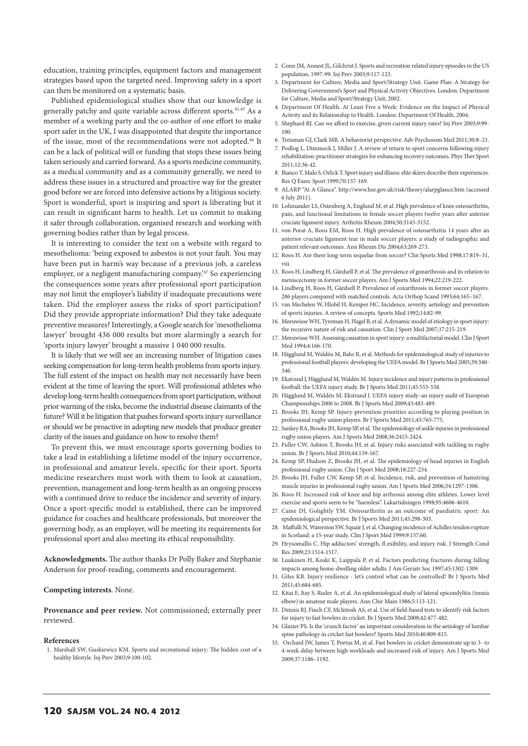education, training principles, equipment factors and management strategies based upon the targeted need. Improving safety in a sport can then be monitored on a systematic basis.

Published epidemiological studies show that our knowledge is generally patchy and quite variable across different sports.<sup>41,45</sup> As a member of a working party and the co-author of one effort to make sport safer in the UK, I was disappointed that despite the importance of the issue, most of the recommendations were not adopted.46 It can be a lack of political will or funding that stops these issues being taken seriously and carried forward. As a sports medicine community, as a medical community and as a community generally, we need to address these issues in a structured and proactive way for the greater good before we are forced into defensive actions by a litigious society. Sport is wonderful, sport is inspiring and sport is liberating but it can result in significant harm to health. Let us commit to making it safer through collaboration, organised research and working with governing bodies rather than by legal process.

It is interesting to consider the text on a website with regard to mesothelioma: 'being exposed to asbestos is not your fault. You may have been put in harm's way because of a previous job, a careless employer, or a negligent manufacturing company.<sup>247</sup> So experiencing the consequences some years after professional sport participation may not limit the employer's liability if inadequate precautions were taken. Did the employer assess the risks of sport participation? Did they provide appropriate information? Did they take adequate preventive measures? Interestingly, a Google search for 'mesothelioma lawyer' brought 436 000 results but more alarmingly a search for 'sports injury lawyer' brought a massive 1 040 000 results.

It is likely that we will see an increasing number of litigation cases seeking compensation for long-term health problems from sports injury. The full extent of the impact on health may not necessarily have been evident at the time of leaving the sport. Will professional athletes who develop long-term health consequences from sport participation, without prior warning of the risks, become the industrial disease claimants of the future? Will it be litigation that pushes forward sports injury surveillance or should we be proactive in adopting new models that produce greater clarity of the issues and guidance on how to resolve them?

To prevent this, we must encourage sports governing bodies to take a lead in establishing a lifetime model of the injury occurrence, in professional and amateur levels, specific for their sport. Sports medicine researchers must work with them to look at causation, prevention, management and long-term health as an ongoing process with a continued drive to reduce the incidence and severity of injury. Once a sport-specific model is established, there can be improved guidance for coaches and healthcare professionals, but moreover the governing body, as an employer, will be meeting its requirements for professional sport and also meeting its ethical responsibility.

**Acknowledgments.** The author thanks Dr Polly Baker and Stephanie Anderson for proof-reading, comments and encouragement.

#### **Competing interests**. None.

**Provenance and peer review.** Not commissioned; externally peer reviewed.

#### **References**

1. Marshall SW, Guskiewicz KM. Sports and recreational injury: The hidden cost of a healthy lifestyle. Inj Prev 2003;9:100-102.

- 2. Conn JM, Annest JL, Gilchrist J. Sports and recreation related injury episodes in the US population, 1997-99. Inj Prev 2003;9:117-123.
- 3. Department for Culture, Media and Sport/Strategy Unit. Game Plan: A Strategy for Delivering Government's Sport and Physical Activity Objectives. London: Department for Culture, Media and Sport/Strategy Unit, 2002.
- 4. Department Of Health. At Least Five a Week: Evidence on the Impact of Physical Activity and its Relationship to Health. London: Department Of Health, 2004.
- 5. Shephard RJ. Can we afford to exercise, given current injury rates? Inj Prev 2003;9:99- 100.
- 6. Treisman GJ, Clark MR. A behaviorist perspective. Adv Psychosom Med 2011;30:8–21.
- 7. Podlog L, Dimmock J, Miller J. A review of return to sport concerns following injury rehabilitation: practitioner strategies for enhancing recovery outcomes. Phys Ther Sport 2011;12:36-42.
- 8. Bianco T, Malo S, Orlick T. Sport injury and illness: elite skiers describe their experiences. Res Q Exerc Sport 1999;70:157-169.
- 9. ALARP "At A Glance". [http://www.hse.gov.uk/risk/theory/alarpglance.htm \(a](http://www.hse.gov.uk/risk/theory/alarpglance.htm)ccessed 6 July 2011).
- 10. Lohmander LS, Ostenberg A, Englund M, et al. High prevalence of knee osteoarthritis, pain, and functional limitations in female soccer players twelve years after anterior cruciate ligament injury. Arthritis Rheum 2004;50:3145-3152.
- 11. von Porat A, Roos EM, Roos H. High prevalence of osteoarthritis 14 years after an anterior cruciate ligament tear in male soccer players: a study of radiographic and patient relevant outcomes. Ann Rheum Dis 2004;63:269-273.
- 12. Roos H. Are there long-term sequelae from soccer? Clin Sports Med 1998;17:819–31, viii.
- 13. Roos H, Lindberg H, Gärdsell P, et al. The prevalence of gonarthrosis and its relation to meniscectomy in former soccer players. Am J Sports Med 1994;22:219-222.
- 14. Lindberg H, Roos H, Gärdsell P. Prevalence of coxarthrosis in former soccer players. 286 players compared with matched controls. Acta Orthop Scand 1993;64:165–167.
- 15. van Mechelen W, Hlobil H, Kemper HC. Incidence, severity, aetiology and prevention of sports injuries. A review of concepts. Sports Med 1992;14:82-99.
- 16. Meeuwisse WH, Tyreman H, Hagel B, et al. A dynamic model of etiology in sport injury: the recursive nature of risk and causation. Clin J Sport Med 2007;17:215-219.
- 17. Meeuwisse WH. Assessing causation in sport injury: a multifactorial model. Clin J Sport Med 1994;4:166-170.
- 18. Hägglund M, Waldén M, Bahr R, et al. Methods for epidemiological study of injuries to professional football players: developing the UEFA model. Br J Sports Med 2005;39:340- 346.
- 19. Ekstrand J, Hägglund M, Waldén M. Injury incidence and injury patterns in professional football: the UEFA injury study. Br J Sports Med 2011;45:553-538.
- 20. Hägglund M, Waldén M, Ekstrand J. UEFA injury study–an injury audit of European Championships 2006 to 2008. Br J Sports Med 2009;43:483-489.
- 21. Brooks JH, Kemp SP. Injury-prevention priorities according to playing position in professional rugby union players. Br J Sports Med 2011;45:765-775.
- 22. Sankey RA, Brooks JH, Kemp SP, et al. The epidemiology of ankle injuries in professional rugby union players. Am J Sports Med 2008;36:2415-2424.
- 23. Fuller CW, Ashton T, Brooks JH, et al. Injury risks associated with tackling in rugby union. Br J Sports Med 2010;44:159-167.
- 24. Kemp SP, Hudson Z, Brooks JH, et al. The epidemiology of head injuries in English professional rugby union. Clin J Sport Med 2008;18:227-234.
- 25. Brooks JH, Fuller CW, Kemp SP, et al. Incidence, risk, and prevention of hamstring muscle injuries in professional rugby union. Am J Sports Med 2006;34:1297-1306.
- 26. Roos H. Increased risk of knee and hip arthrosis among elite athletes. Lower level exercise and sports seem to be "harmless". Lakartidningen 1998;95:4606-4610.
- 27. Caine DJ, Golightly YM. Osteoarthritis as an outcome of paediatric sport: An epidemiological perspective. Br J Sports Med 2011;45:298-303.
- 28. Maffulli N, Waterston SW, Squair J, et al. Changing incidence of Achilles tendon rupture in Scotland: a 15-year study. Clin J Sport Med 1999;9:157:60.
- 29. Hrysomallis C. Hip adductors' strength, fl exibility, and injury risk. J Strength Cond Res 2009;23:1514-1517.
- 30. Luukinen H, Koski K, Laippala P, et al. Factors predicting fractures during falling impacts among home-dwelling older adults. J Am Geriatr Soc 1997;45:1302-1309.
- 31. Giles KB. Injury resilience let's control what can be controlled! Br J Sports Med 2011;45:684-685.
- 32. Kitai E, Itay S, Ruder A, et al. An epidemiological study of lateral epicondylitis (tennis elbow) in amateur male players. Ann Chir Main 1986;5:113-121.
- 33. Dennis RJ, Finch CF, McIntosh AS, et al. Use of field-based tests to identify risk factors for injury to fast bowlers in cricket. Br J Sports Med 2008;42:477-482.
- 34. Glazier PS. Is the 'crunch factor' an important consideration in the aetiology of lumbar spine pathology in cricket fast bowlers? Sports Med 2010;40:809-815.
- 35. Orchard JW, James T, Portus M, et al. Fast bowlers in cricket demonstrate up to 3- to 4-week delay between high workloads and increased risk of injury. Am J Sports Med 2009;37:1186–1192.